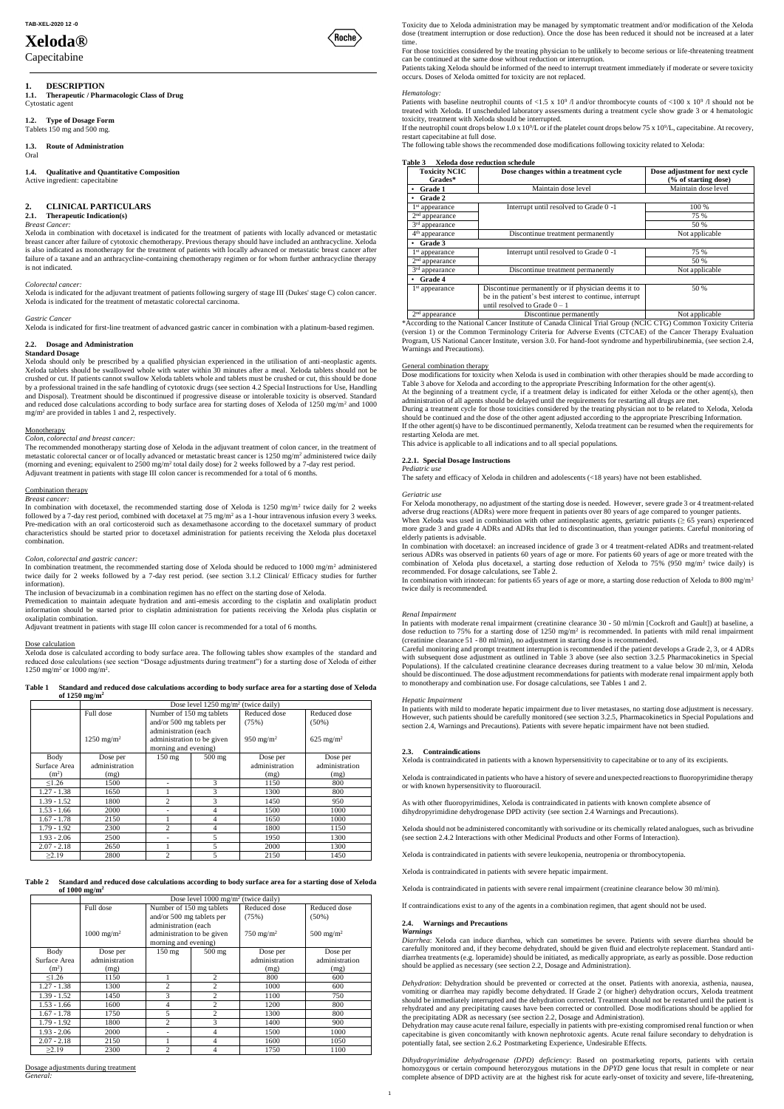# **Xeloda®**

Capecitabine

### **1. DESCRIPTION**

**1.1. Therapeutic / Pharmacologic Class of Drug** Cytostatic agent

#### **1.2. Type of Dosage Form** Tablets 150 mg and 500 mg.

Xeloda in combination with docetaxel is indicated for the treatment of patients with locally advanced or metastatic breast cancer after failure of cytotoxic chemotherapy. Previous therapy should have included an anthracycline. Xeloda is also indicated as monotherapy for the treatment of patients with locally advanced or metastatic breast cancer after failure of a taxane and an anthracycline-containing chemotherapy regimen or for whom further anthracycline therapy is not indicated

**1.3. Route of Administration**

Oral

## **1.4. Qualitative and Quantitative Composition**

Active ingredient: capecitabine

### **2. CLINICAL PARTICULARS**

### **2.1. Therapeutic Indication(s)**

*Breast Cancer:*

#### *Colorectal cancer:*

Xeloda is indicated for the adjuvant treatment of patients following surgery of stage III (Dukes' stage C) colon cancer. Xeloda is indicated for the treatment of metastatic colorectal carcinoma.

#### *Gastric Cancer*

Xeloda is indicated for first-line treatment of advanced gastric cancer in combination with a platinum-based regimen.

### **2.2. Dosage and Administration**

### **Standard Dosage**

In combination with docetaxel, the recommended starting dose of Xeloda is  $1250 \text{ mg/m}^2$  twice daily for 2 weeks followed by a 7-day rest period, combined with docetaxel at 75 mg/m<sup>2</sup> as a 1-hour intravenous infusion every 3 weeks. Pre-medication with an oral corticosteroid such as dexamethasone according to the docetaxel summary of product characteristics should be started prior to docetaxel administration for patients receiving the Xeloda plus docetaxel combination.

Xeloda should only be prescribed by a qualified physician experienced in the utilisation of anti-neoplastic agents. Xeloda tablets should be swallowed whole with water within 30 minutes after a meal. Xeloda tablets should not be crushed or cut. If patients cannot swallow Xeloda tablets whole and tablets must be crushed or cut, this should be done by a professional trained in the safe handling of cytotoxic drugs (see section 4.2 Special Instructions for Use, Handling and Disposal). Treatment should be discontinued if progressive disease or intolerable toxicity is observed. Standard and reduced dose calculations according to body surface area for starting doses of Xeloda of 1250 mg/m<sup>2</sup> and 1000 mg/m<sup>2</sup> are provided in tables 1 and 2, respectively.

#### **Monotherapy**

In combination treatment, the recommended starting dose of Xeloda should be reduced to 1000 mg/m<sup>2</sup> administered twice daily for 2 weeks followed by a 7-day rest period. (see section 3.1.2 Clinical/ Efficacy studies for further information).

Xeloda dose is calculated according to body surface area. The following tables show examples of the standard and reduced dose calculations (see section "Dosage adjustments during treatment") for a starting dose of Xeloda of either 1250 mg/m<sup>2</sup> or 1000 mg/m<sup>2</sup>.

#### *Colon, colorectal and breast cancer:*

The recommended monotherapy starting dose of Xeloda in the adjuvant treatment of colon cancer, in the treatment of metastatic colorectal cancer or of locally advanced or metastatic breast cancer is 1250 mg/m<sup>2</sup> administered twice daily (morning and evening; equivalent to 2500 mg/m<sup>2</sup> total daily dose) for 2 weeks followed by a 7-day rest period. Adjuvant treatment in patients with stage III colon cancer is recommended for a total of 6 months.

### Combination therapy

*Breast cancer:*

*Colon, colorectal and gastric cancer:*

Patients with baseline neutrophil counts of  $\langle 1.5 \times 10^9 \rangle$  and/or thrombocyte counts of  $\langle 100 \times 10^9 \rangle$  should not be treated with Xeloda. If unscheduled laboratory assessments during a treatment cycle show grade 3 or 4 hematologic toxicity, treatment with Xeloda should be interrupted.

The inclusion of bevacizumab in a combination regimen has no effect on the starting dose of Xeloda.

If the neutrophil count drops below 1.0 x 10<sup>9</sup>/L or if the platelet count drops below 75 x 10<sup>9</sup>/L, capecitabine. At recovery, restart capecitabine at full dose.

Premedication to maintain adequate hydration and anti-emesis according to the cisplatin and oxaliplatin product information should be started prior to cisplatin administration for patients receiving the Xeloda plus cisplatin or oxaliplatin combination.

Adjuvant treatment in patients with stage III colon cancer is recommended for a total of 6 months.

#### Dose calculation

#### **Table 1 Standard and reduced dose calculations according to body surface area for a starting dose of Xeloda of 1250 mg/m<sup>2</sup>**

|                   | Dose level $1250 \text{ mg/m}^2$ (twice daily) |                                                                            |                          |                       |                          |  |
|-------------------|------------------------------------------------|----------------------------------------------------------------------------|--------------------------|-----------------------|--------------------------|--|
|                   | Full dose                                      | Number of 150 mg tablets<br>and/or 500 mg tablets per                      |                          | Reduced dose<br>(75%) | Reduced dose<br>$(50\%)$ |  |
|                   | $1250 \text{ mg/m}^2$                          | administration (each<br>administration to be given<br>morning and evening) |                          | 950 mg/m <sup>2</sup> | $625 \text{ mg/m}^2$     |  |
| Body              | Dose per                                       | $150 \text{ mg}$                                                           | $500$ mg                 | Dose per              | Dose per                 |  |
| Surface Area      | administration                                 |                                                                            |                          | administration        | administration           |  |
| (m <sup>2</sup> ) | (mg)                                           |                                                                            |                          | (mg)                  | (mg)                     |  |
| $\leq$ 1.26       | 1500                                           |                                                                            | 3                        | 1150                  | 800                      |  |
| $1.27 - 1.38$     | 1650                                           |                                                                            | 3                        | 1300                  | 800                      |  |
| $1.39 - 1.52$     | 1800                                           | 2                                                                          | 3                        | 1450                  | 950                      |  |
| $1.53 - 1.66$     | 2000                                           |                                                                            | 4                        | 1500                  | 1000                     |  |
| $1.67 - 1.78$     | 2150                                           |                                                                            | $\overline{\mathcal{L}}$ | 1650                  | 1000                     |  |
| $1.79 - 1.92$     | 2300                                           | $\overline{c}$                                                             | $\overline{\mathcal{L}}$ | 1800                  | 1150                     |  |
| $1.93 - 2.06$     | 2500                                           | ۰                                                                          | 5                        | 1950                  | 1300                     |  |
| $2.07 - 2.18$     | 2650                                           |                                                                            | 5                        | 2000                  | 1300                     |  |
| >2.19             | 2800                                           | $\mathfrak{D}$                                                             | 5                        | 2150                  | 1450                     |  |

| <b>Table 2</b> | Standard and reduced dose calculations according to body surface area for a starting dose of Xeloda |
|----------------|-----------------------------------------------------------------------------------------------------|
|                | of $1000 \text{ mg/m}^2$                                                                            |

In combination with irinotecan: for patients 65 years of age or more, a starting dose reduction of Xeloda to 800 mg/m<sup>2</sup> twice daily is recommended.

|                   |                       | Dose level $1000 \text{ mg/m}^2$ (twice daily) |                |                      |                      |  |  |  |
|-------------------|-----------------------|------------------------------------------------|----------------|----------------------|----------------------|--|--|--|
|                   | Full dose             | Number of 150 mg tablets                       |                | Reduced dose         | Reduced dose         |  |  |  |
|                   |                       | and/or $500$ mg tablets per                    |                | (75%)                | $(50\%)$             |  |  |  |
|                   |                       | administration (each                           |                |                      |                      |  |  |  |
|                   | $1000 \text{ mg/m}^2$ | administration to be given                     |                | $750 \text{ mg/m}^2$ | $500 \text{ mg/m}^2$ |  |  |  |
|                   |                       | morning and evening)                           |                |                      |                      |  |  |  |
| Body              | Dose per              | $150 \text{ mg}$                               | $500$ mg       | Dose per             | Dose per             |  |  |  |
| Surface Area      | administration        |                                                |                | administration       | administration       |  |  |  |
| (m <sup>2</sup> ) | (mg)                  |                                                |                | (mg)                 | (mg)                 |  |  |  |
| $\leq 1.26$       | 1150                  |                                                | $\overline{c}$ | 800                  | 600                  |  |  |  |
| $1.27 - 1.38$     | 1300                  | $\overline{c}$                                 | $\overline{2}$ | 1000                 | 600                  |  |  |  |
| $1.39 - 1.52$     | 1450                  | 3                                              | $\overline{c}$ | 1100                 | 750                  |  |  |  |
| $1.53 - 1.66$     | 1600                  | 4                                              | $\overline{c}$ | 1200                 | 800                  |  |  |  |
| $1.67 - 1.78$     | 1750                  | 5                                              | $\overline{c}$ | 1300                 | 800                  |  |  |  |
| $1.79 - 1.92$     | 1800                  | $\overline{c}$                                 | 3              | 1400                 | 900                  |  |  |  |
| $1.93 - 2.06$     | 2000                  |                                                | 4              | 1500                 | 1000                 |  |  |  |
| $2.07 - 2.18$     | 2150                  |                                                | 4              | 1600                 | 1050                 |  |  |  |
| >2.19             | 2300                  | $\overline{c}$                                 | 4              | 1750                 | 1100                 |  |  |  |

Dosage adjustments during treatment

*General:*

Toxicity due to Xeloda administration may be managed by symptomatic treatment and/or modification of the Xeloda dose (treatment interruption or dose reduction). Once the dose has been reduced it should not be increased at a later time.

For those toxicities considered by the treating physician to be unlikely to become serious or life-threatening treatment can be continued at the same dose without reduction or interruption.

Patients taking Xeloda should be informed of the need to interrupt treatment immediately if moderate or severe toxicity occurs. Doses of Xeloda omitted for toxicity are not replaced.

### *Hematology:*

The following table shows the recommended dose modifications following toxicity related to Xeloda:

### **Table 3 Xeloda dose reduction schedule**

| <b>Toxicity NCIC</b><br>Grades* | Dose changes within a treatment cycle                                                                           | Dose adjustment for next cycle<br>(% of starting dose) |
|---------------------------------|-----------------------------------------------------------------------------------------------------------------|--------------------------------------------------------|
| Grade 1                         | Maintain dose level                                                                                             | Maintain dose level                                    |
| Grade 2                         |                                                                                                                 |                                                        |
| $1st$ appearance                | Interrupt until resolved to Grade 0 -1                                                                          | 100 %                                                  |
| $2nd$ appearance                |                                                                                                                 | 75 %                                                   |
| $3rd$ appearance                |                                                                                                                 | 50 %                                                   |
| 4 <sup>th</sup> appearance      | Discontinue treatment permanently                                                                               | Not applicable                                         |
| Grade 3                         |                                                                                                                 |                                                        |
| 1 <sup>st</sup> appearance      | Interrupt until resolved to Grade 0 -1                                                                          | 75 %                                                   |
| $2nd$ appearance                |                                                                                                                 | 50 %                                                   |
| 3 <sup>rd</sup> appearance      | Discontinue treatment permanently                                                                               | Not applicable                                         |
| Grade 4                         |                                                                                                                 |                                                        |
| 1 <sup>st</sup> appearance      | Discontinue permanently or if physician deems it to<br>be in the patient's best interest to continue, interrupt | 50 %                                                   |
| $2nd$ appearance                | until resolved to Grade $0 - 1$<br>Discontinue permanently                                                      | Not applicable                                         |

\*According to the National Cancer Institute of Canada Clinical Trial Group (NCIC CTG) Common Toxicity Criteria (version 1) or the Common Terminology Criteria for Adverse Events (CTCAE) of the Cancer Therapy Evaluation Program, US National Cancer Institute, version 3.0. For hand-foot syndrome and hyperbilirubinemia, (see section 2.4, Warnings and Precautions).

### General combination therapy

Dose modifications for toxicity when Xeloda is used in combination with other therapies should be made according to Table 3 above for Xeloda and according to the appropriate Prescribing Information for the other agent(s).

At the beginning of a treatment cycle, if a treatment delay is indicated for either Xeloda or the other agent(s), then administration of all agents should be delayed until the requirements for restarting all drugs are met.

During a treatment cycle for those toxicities considered by the treating physician not to be related to Xeloda, Xeloda should be continued and the dose of the other agent adjusted according to the appropriate Prescribing Information. If the other agent(s) have to be discontinued permanently, Xeloda treatment can be resumed when the requirements for restarting Xeloda are met.

This advice is applicable to all indications and to all special populations.

### **2.2.1. Special Dosage Instructions**

#### *Pediatric use*

The safety and efficacy of Xeloda in children and adolescents (<18 years) have not been established.

#### *Geriatric use*

For Xeloda monotherapy, no adjustment of the starting dose is needed. However, severe grade 3 or 4 treatment-related adverse drug reactions (ADRs) were more frequent in patients over 80 years of age compared to younger patients. When Xeloda was used in combination with other antineoplastic agents, geriatric patients (≥ 65 years) experienced more grade 3 and grade 4 ADRs and ADRs that led to discontinuation, than younger patients. Careful monitoring of elderly patients is advisable.

In combination with docetaxel: an increased incidence of grade 3 or 4 treatment-related ADRs and treatment-related serious ADRs was observed in patients 60 years of age or more. For patients 60 years of age or more treated with the combination of Xeloda plus docetaxel, a starting dose reduction of Xeloda to 75% (950 mg/m<sup>2</sup> twice daily) is recommended. For dosage calculations, see Table 2.

#### *Renal Impairment*

In patients with moderate renal impairment (creatinine clearance 30 - 50 ml/min [Cockroft and Gault]) at baseline, a dose reduction to 75% for a starting dose of 1250 mg/m<sup>2</sup> is recommended. In patients with mild renal impairment (creatinine clearance 51 - 80 ml/min), no adjustment in starting dose is recommended.

Careful monitoring and prompt treatment interruption is recommended if the patient develops a Grade 2, 3, or 4 ADRs with subsequent dose adjustment as outlined in Table 3 above (see also section 3.2.5 Pharmacokinetics in Special Populations). If the calculated creatinine clearance decreases during treatment to a value below 30 ml/min, Xeloda should be discontinued. The dose adjustment recommendations for patients with moderate renal impairment apply both to monotherapy and combination use. For dosage calculations, see Tables 1 and 2.

#### *Hepatic Impairment*

In patients with mild to moderate hepatic impairment due to liver metastases, no starting dose adjustment is necessary. However, such patients should be carefully monitored (see section 3.2.5, Pharmacokinetics in Special Populations and section 2.4, Warnings and Precautions). Patients with severe hepatic impairment have not been studied.

#### **2.3. Contraindications**

Xeloda is contraindicated in patients with a known hypersensitivity to capecitabine or to any of its excipients.

Xeloda is contraindicated in patients who have a history of severe and unexpected reactions to fluoropyrimidine therapy or with known hypersensitivity to fluorouracil.

As with other fluoropyrimidines, Xeloda is contraindicated in patients with known complete absence of dihydropyrimidine dehydrogenase DPD activity (see section 2.4 Warnings and Precautions).

Xeloda should not be administered concomitantly with sorivudine or its chemically related analogues, such as brivudine



(see section 2.4.2 Interactions with other Medicinal Products and other Forms of Interaction).

Xeloda is contraindicated in patients with severe leukopenia, neutropenia or thrombocytopenia.

Xeloda is contraindicated in patients with severe hepatic impairment.

Xeloda is contraindicated in patients with severe renal impairment (creatinine clearance below 30 ml/min).

If contraindications exist to any of the agents in a combination regimen, that agent should not be used.

### **2.4. Warnings and Precautions**

#### *Warnings*

*Diarrhea*: Xeloda can induce diarrhea, which can sometimes be severe. Patients with severe diarrhea should be carefully monitored and, if they become dehydrated, should be given fluid and electrolyte replacement. Standard antidiarrhea treatments (e.g. loperamide) should be initiated, as medically appropriate, as early as possible. Dose reduction should be applied as necessary (see section 2.2, Dosage and Administration).

*Dehydration*: Dehydration should be prevented or corrected at the onset. Patients with anorexia, asthenia, nausea, vomiting or diarrhea may rapidly become dehydrated. If Grade 2 (or higher) dehydration occurs, Xeloda treatment should be immediately interrupted and the dehydration corrected. Treatment should not be restarted until the patient is rehydrated and any precipitating causes have been corrected or controlled. Dose modifications should be applied for the precipitating ADR as necessary (see section 2.2, Dosage and Administration).

Dehydration may cause acute renal failure, especially in patients with pre-existing compromised renal function or when capecitabine is given concomitantly with known nephrotoxic agents. Acute renal failure secondary to dehydration is potentially fatal, see section 2.6.2 Postmarketing Experience, Undesirable Effects.

*Dihydropyrimidine dehydrogenase (DPD) deficiency*: Based on postmarketing reports, patients with certain homozygous or certain compound heterozygous mutations in the *DPYD* gene locus that result in complete or near complete absence of DPD activity are at the highest risk for acute early-onset of toxicity and severe, life-threatening,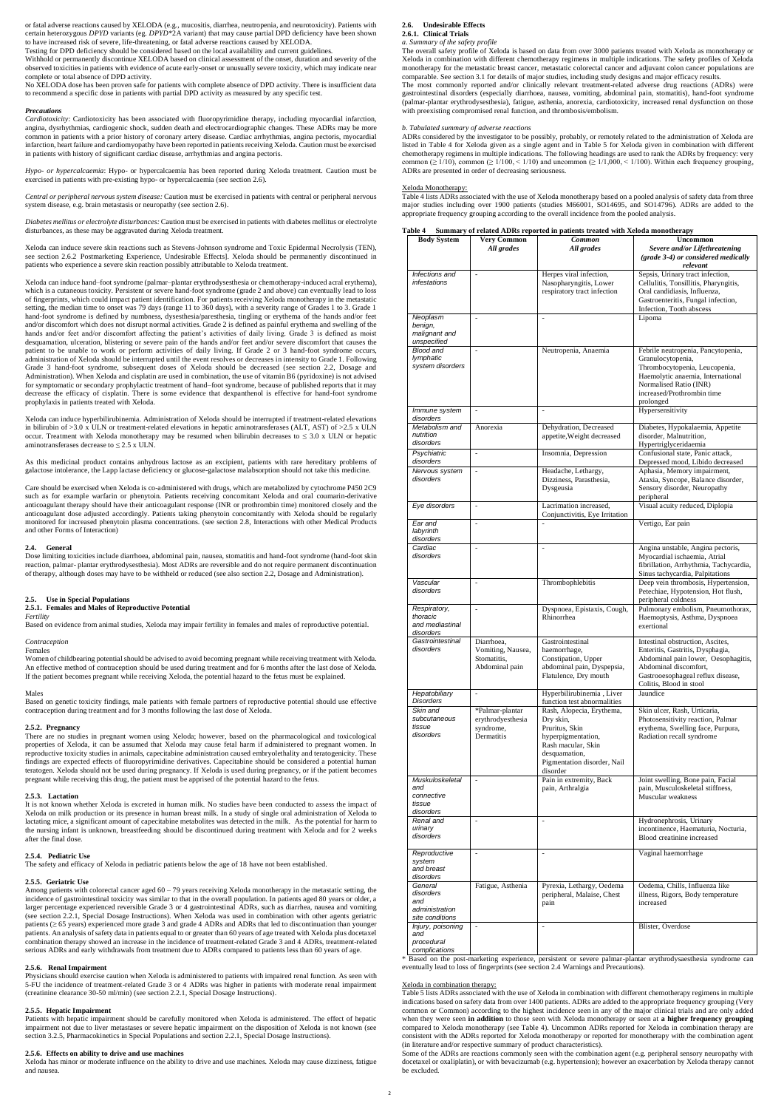or fatal adverse reactions caused by XELODA (e.g., mucositis, diarrhea, neutropenia, and neurotoxicity). Patients with certain heterozygous *DPYD* variants (eg. *DPYD*\*2A variant) that may cause partial DPD deficiency have been shown to have increased risk of severe, life-threatening, or fatal adverse reactions caused by XELODA.

Testing for DPD deficiency should be considered based on the local availability and current guidelines.

Withhold or permanently discontinue XELODA based on clinical assessment of the onset, duration and severity of the observed toxicities in patients with evidence of acute early-onset or unusually severe toxicity, which may indicate near complete or total absence of DPD activity.

No XELODA dose has been proven safe for patients with complete absence of DPD activity. There is insufficient data to recommend a specific dose in patients with partial DPD activity as measured by any specific test.

#### *Precautions*

*Cardiotoxicity*: Cardiotoxicity has been associated with fluoropyrimidine therapy, including myocardial infarction, angina, dysrhythmias, cardiogenic shock, sudden death and electrocardiographic changes. These ADRs may be more common in patients with a prior history of coronary artery disease. Cardiac arrhythmias, angina pectoris, myocardial infarction, heart failure and cardiomyopathy have been reported in patients receiving Xeloda. Caution must be exercised in patients with history of significant cardiac disease, arrhythmias and angina pectoris.

*Hypo- or hypercalcaemia*: Hypo- or hypercalcaemia has been reported during Xeloda treatment. Caution must be exercised in patients with pre-existing hypo- or hypercalcaemia (see section 2.6).

*Central or peripheral nervous system disease:* Caution must be exercised in patients with central or peripheral nervous system disease, e.g. brain metastasis or neuropathy (see section 2.6).

*Diabetes mellitus or electrolyte disturbances:* Caution must be exercised in patients with diabetes mellitus or electrolyte disturbances, as these may be aggravated during Xeloda treatment.

Xeloda can induce hyperbilirubinemia. Administration of Xeloda should be interrupted if treatment-related elevations in bilirubin of  $>3.0$  x ULN or treatment-related elevations in hepatic aminotransferases (ALT, AST) of  $>2.5$  x ULN occur. Treatment with Xeloda monotherapy may be resumed when bilirubin decreases to  $\leq 3.0$  x ULN or hepatic aminotransferases decrease to  $\leq$  2.5 x ULN.

Xeloda can induce severe skin reactions such as Stevens-Johnson syndrome and Toxic Epidermal Necrolysis (TEN), see section 2.6.2 Postmarketing Experience, Undesirable Effects]. Xeloda should be permanently discontinued in patients who experience a severe skin reaction possibly attributable to Xeloda treatment.

Xeloda can induce hand–foot syndrome (palmar–plantar erythrodysesthesia or chemotherapy-induced acral erythema), which is a cutaneous toxicity. Persistent or severe hand-foot syndrome (grade 2 and above) can eventually lead to loss of fingerprints, which could impact patient identification. For patients receiving Xeloda monotherapy in the metastatic setting, the median time to onset was 79 days (range 11 to 360 days), with a severity range of Grades 1 to 3. Grade 1 hand-foot syndrome is defined by numbness, dysesthesia/paresthesia, tingling or erythema of the hands and/or feet and/or discomfort which does not disrupt normal activities. Grade 2 is defined as painful erythema and swelling of the hands and/or feet and/or discomfort affecting the patient's activities of daily living. Grade 3 is defined as moist desquamation, ulceration, blistering or severe pain of the hands and/or feet and/or severe discomfort that causes the patient to be unable to work or perform activities of daily living. If Grade 2 or 3 hand-foot syndrome occurs, administration of Xeloda should be interrupted until the event resolves or decreases in intensity to Grade 1. Following Grade 3 hand-foot syndrome, subsequent doses of Xeloda should be decreased (see section 2.2, Dosage and Administration). When Xeloda and cisplatin are used in combination, the use of vitamin B6 (pyridoxine) is not advised for symptomatic or secondary prophylactic treatment of hand–foot syndrome, because of published reports that it may decrease the efficacy of cisplatin. There is some evidence that dexpanthenol is effective for hand-foot syndrome prophylaxis in patients treated with Xeloda.

Among patients with colorectal cancer aged  $60 - 79$  years receiving Xeloda monotherapy in the metastatic setting, the incidence of gastrointestinal toxicity was similar to that in the overall population. In patients aged 80 years or older, a larger percentage experienced reversible Grade 3 or 4 gastrointestinal ADRs, such as diarrhea, nausea and vomiting (see section 2.2.1, Special Dosage Instructions). When Xeloda was used in combination with other agents geriatric patients (≥ 65 years) experienced more grade 3 and grade 4 ADRs and ADRs that led to discontinuation than younger patients. An analysis of safety data in patients equal to or greater than 60 years of age treated with Xeloda plus docetaxel combination therapy showed an increase in the incidence of treatment-related Grade 3 and 4 ADRs, treatment-related serious ADRs and early withdrawals from treatment due to ADRs compared to patients less than 60 years of age.

Patients with hepatic impairment should be carefully monitored when Xeloda is administered. The effect of hepatic impairment not due to liver metastases or severe hepatic impairment on the disposition of Xeloda is not known (see section 3.2.5, Pharmacokinetics in Special Populations and section 2.2.1, Special Dosage Instructions).

As this medicinal product contains anhydrous lactose as an excipient, patients with rare hereditary problems of galactose intolerance, the Lapp lactase deficiency or glucose-galactose malabsorption should not take this medicine.

Care should be exercised when Xeloda is co-administered with drugs, which are metabolized by cytochrome P450 2C9 such as for example warfarin or phenytoin. Patients receiving concomitant Xeloda and oral coumarin-derivative anticoagulant therapy should have their anticoagulant response (INR or prothrombin time) monitored closely and the anticoagulant dose adjusted accordingly. Patients taking phenytoin concomitantly with Xeloda should be regularly monitored for increased phenytoin plasma concentrations. (see section 2.8, Interactions with other Medical Products and other Forms of Interaction)

#### **2.4. General**

Dose limiting toxicities include diarrhoea, abdominal pain, nausea, stomatitis and hand-foot syndrome (hand-foot skin reaction, palmar- plantar erythrodysesthesia). Most ADRs are reversible and do not require permanent discontinuation of therapy, although doses may have to be withheld or reduced (see also section 2.2, Dosage and Administration).

### **2.5. Use in Special Populations**

### **2.5.1. Females and Males of Reproductive Potential**

*Fertility* Based on evidence from animal studies, Xeloda may impair fertility in females and males of reproductive potential.

#### *Contraception*

Females

Women of childbearing potential should be advised to avoid becoming pregnant while receiving treatment with Xeloda. An effective method of contraception should be used during treatment and for 6 months after the last dose of Xeloda. If the patient becomes pregnant while receiving Xeloda, the potential hazard to the fetus must be explained.

### Males

Based on genetic toxicity findings, male patients with female partners of reproductive potential should use effective contraception during treatment and for 3 months following the last dose of Xeloda.

### **2.5.2. Pregnancy**

There are no studies in pregnant women using Xeloda; however, based on the pharmacological and toxicological properties of Xeloda, it can be assumed that Xeloda may cause fetal harm if administered to pregnant women. In reproductive toxicity studies in animals, capecitabine administration caused embryolethality and teratogenicity. These findings are expected effects of fluoropyrimidine derivatives. Capecitabine should be considered a potential human teratogen. Xeloda should not be used during pregnancy. If Xeloda is used during pregnancy, or if the patient becomes pregnant while receiving this drug, the patient must be apprised of the potential hazard to the fetus.

#### **2.5.3. Lactation**

It is not known whether Xeloda is excreted in human milk. No studies have been conducted to assess the impact of Xeloda on milk production or its presence in human breast milk. In a study of single oral administration of Xeloda to lactating mice, a significant amount of capecitabine metabolites was detected in the milk. As the potential for harm to the nursing infant is unknown, breastfeeding should be discontinued during treatment with Xeloda and for 2 weeks

after the final dose.

#### **2.5.4. Pediatric Use**

The safety and efficacy of Xeloda in pediatric patients below the age of 18 have not been established.

#### **2.5.5. Geriatric Use**

Some of the ADRs are reactions commonly seen with the combination agent (e.g. peripheral sensory neuropathy with docetaxel or oxaliplatin), or with bevacizumab (e.g. hypertension); however an exacerbation by Xeloda therapy cannot be excluded.

### **2.5.6. Renal Impairment**

Physicians should exercise caution when Xeloda is administered to patients with impaired renal function. As seen with 5-FU the incidence of treatment-related Grade 3 or 4 ADRs was higher in patients with moderate renal impairment (creatinine clearance 30-50 ml/min) (see section 2.2.1, Special Dosage Instructions).

### **2.5.5. Hepatic Impairment**

### **2.5.6. Effects on ability to drive and use machines**

Xeloda has minor or moderate influence on the ability to drive and use machines. Xeloda may cause dizziness, fatigue and nausea.

### **2.6. Undesirable Effects**

### **2.6.1. Clinical Trials** *a. Summary of the safety profile*

The overall safety profile of Xeloda is based on data from over 3000 patients treated with Xeloda as monotherapy or Xeloda in combination with different chemotherapy regimens in multiple indications. The safety profiles of Xeloda monotherapy for the metastatic breast cancer, metastatic colorectal cancer and adjuvant colon cancer populations are comparable. See section 3.1 for details of major studies, including study designs and major efficacy results.

The most commonly reported and/or clinically relevant treatment-related adverse drug reactions (ADRs) were gastrointestinal disorders (especially diarrhoea, nausea, vomiting, abdominal pain, stomatitis), hand-foot syndrome (palmar-plantar erythrodysesthesia), fatigue, asthenia, anorexia, cardiotoxicity, increased renal dysfunction on those with preexisting compromised renal function, and thrombosis/embolism.

#### *b. Tabulated summary of adverse reactions*

ADRs considered by the investigator to be possibly, probably, or remotely related to the administration of Xeloda are listed in Table 4 for Xeloda given as a single agent and in Table 5 for Xeloda given in combination with different chemotherapy regimens in multiple indications. The following headings are used to rank the ADRs by frequency: very common ( $\geq 1/10$ ), common ( $\geq 1/100$ ,  $\lt 1/100$ ) and uncommon ( $\geq 1/1,000$ ,  $\lt 1/100$ ). Within each frequency grouping, ADRs are presented in order of decreasing seriousness.

### Xeloda Monotherapy:

Table 4 lists ADRs associated with the use of Xeloda monotherapy based on a pooled analysis of safety data from three major studies including over 1900 patients (studies M66001, SO14695, and SO14796). ADRs are added to the appropriate frequency grouping according to the overall incidence from the pooled analysis.

|  |                                                |          | Table 4 Summary of related ADRs reported in patients treated with Xeloda monotherapy |
|--|------------------------------------------------|----------|--------------------------------------------------------------------------------------|
|  | $\mathbf{r}$ and $\mathbf{r}$ and $\mathbf{r}$ | $\cdots$ | <b>TT</b>                                                                            |

| <b>Body System</b>                                               | Very Common<br>All grades                                        | <b>Common</b><br>All grades                                                                                                                                      | <b>Uncommon</b><br>Severe and/or Lifethreatening<br>(grade 3-4) or considered medically<br>relevant                                                                                                  |
|------------------------------------------------------------------|------------------------------------------------------------------|------------------------------------------------------------------------------------------------------------------------------------------------------------------|------------------------------------------------------------------------------------------------------------------------------------------------------------------------------------------------------|
| Infections and<br><i>infestations</i>                            | $\blacksquare$                                                   | Herpes viral infection,<br>Nasopharyngitis, Lower<br>respiratory tract infection                                                                                 | Sepsis, Urinary tract infection,<br>Cellulitis, Tonsillitis, Pharyngitis,<br>Oral candidiasis, Influenza,<br>Gastroenteritis, Fungal infection,<br>Infection, Tooth abscess                          |
| Neoplasm<br>benign,<br>malignant and                             | $\overline{\phantom{a}}$                                         | $\frac{1}{2}$                                                                                                                                                    | Lipoma                                                                                                                                                                                               |
| unspecified<br>Blood and<br>lymphatic<br>system disorders        | $\overline{a}$                                                   | Neutropenia, Anaemia                                                                                                                                             | Febrile neutropenia, Pancytopenia,<br>Granulocytopenia,<br>Thrombocytopenia, Leucopenia,<br>Haemolytic anaemia, International<br>Normalised Ratio (INR)<br>increased/Prothrombin time<br>prolonged   |
| Immune system<br>disorders                                       |                                                                  |                                                                                                                                                                  | Hypersensitivity                                                                                                                                                                                     |
| Metabolism and<br>nutrition<br>disorders                         | Anorexia                                                         | Dehydration, Decreased<br>appetite, Weight decreased                                                                                                             | Diabetes, Hypokalaemia, Appetite<br>disorder, Malnutrition,<br>Hypertriglyceridaemia                                                                                                                 |
| Psychiatric<br>disorders                                         | $\mathcal{L}^{\mathcal{A}}$                                      | Insomnia, Depression                                                                                                                                             | Confusional state, Panic attack,<br>Depressed mood, Libido decreased                                                                                                                                 |
| Nervous system<br>disorders                                      | $\overline{a}$                                                   | Headache, Lethargy,<br>Dizziness, Parasthesia,<br>Dysgeusia                                                                                                      | Aphasia, Memory impairment,<br>Ataxia, Syncope, Balance disorder,<br>Sensory disorder, Neuropathy<br>peripheral                                                                                      |
| Eye disorders                                                    | $\overline{a}$                                                   | Lacrimation increased,<br>Conjunctivitis, Eye Irritation                                                                                                         | Visual acuity reduced, Diplopia                                                                                                                                                                      |
| Ear and<br>labyrinth<br>disorders                                | $\overline{a}$                                                   | $\overline{a}$                                                                                                                                                   | Vertigo, Ear pain                                                                                                                                                                                    |
| Cardiac<br>disorders                                             | $\overline{a}$                                                   | $\overline{a}$                                                                                                                                                   | Angina unstable, Angina pectoris,<br>Myocardial ischaemia, Atrial<br>fibrillation, Arrhythmia, Tachycardia,<br>Sinus tachycardia, Palpitations                                                       |
| Vascular<br>disorders                                            | $\overline{a}$                                                   | Thrombophlebitis                                                                                                                                                 | Deep vein thrombosis, Hypertension,<br>Petechiae, Hypotension, Hot flush,<br>peripheral coldness                                                                                                     |
| Respiratory,<br>thoracic<br>and mediastinal<br>disorders         | $\overline{\phantom{0}}$                                         | Dyspnoea, Epistaxis, Cough,<br>Rhinorrhea                                                                                                                        | Pulmonary embolism, Pneumothorax,<br>Haemoptysis, Asthma, Dyspnoea<br>exertional                                                                                                                     |
| Gastrointestinal<br>disorders                                    | Diarrhoea,<br>Vomiting, Nausea,<br>Stomatitis,<br>Abdominal pain | Gastrointestinal<br>haemorrhage,<br>Constipation, Upper<br>abdominal pain, Dyspepsia,<br>Flatulence, Dry mouth                                                   | Intestinal obstruction, Ascites,<br>Enteritis, Gastritis, Dysphagia,<br>Abdominal pain lower, Oesophagitis,<br>Abdominal discomfort,<br>Gastrooesophageal reflux disease,<br>Colitis, Blood in stool |
| Hepatobiliary<br><b>Disorders</b>                                | $\overline{a}$                                                   | Hyperbilirubinemia, Liver<br>function test abnormalities                                                                                                         | Jaundice                                                                                                                                                                                             |
| Skin and<br>subcutaneous<br>tissue<br>disorders                  | *Palmar-plantar<br>erythrodyesthesia<br>syndrome,<br>Dermatitis  | Rash, Alopecia, Erythema,<br>Dry skin,<br>Pruritus, Skin<br>hyperpigmentation,<br>Rash macular, Skin<br>desquamation,<br>Pigmentation disorder, Nail<br>disorder | Skin ulcer, Rash, Urticaria,<br>Photosensitivity reaction, Palmar<br>erythema, Swelling face, Purpura,<br>Radiation recall syndrome                                                                  |
| Muskuloskeletal<br>and<br>connective<br>tissue<br>disorders      | $\overline{\phantom{a}}$                                         | Pain in extremity, Back<br>pain, Arthralgia                                                                                                                      | Joint swelling, Bone pain, Facial<br>pain, Musculoskeletal stiffness,<br>Muscular weakness                                                                                                           |
| Renal and<br>urinary<br>disorders                                | $\overline{\phantom{a}}$                                         | $\overline{a}$                                                                                                                                                   | Hydronephrosis, Urinary<br>incontinence, Haematuria, Nocturia,<br>Blood creatinine increased                                                                                                         |
| Reproductive<br>system<br>and breast<br>disorders                | $\overline{\phantom{0}}$                                         | $\overline{\phantom{a}}$                                                                                                                                         | Vaginal haemorrhage                                                                                                                                                                                  |
| General<br>disorders<br>and<br>administration<br>site conditions | Fatigue, Asthenia                                                | Pyrexia, Lethargy, Oedema<br>peripheral, Malaise, Chest<br>pain                                                                                                  | Oedema, Chills, Influenza like<br>illness, Rigors, Body temperature<br>increased                                                                                                                     |
| Injury, poisoning<br>and<br>procedural<br>complications          | $\overline{\phantom{a}}$                                         | $\overline{\phantom{a}}$                                                                                                                                         | Blister, Overdose                                                                                                                                                                                    |

\* Based on the post-marketing experience, persistent or severe palmar-plantar erythrodysaesthesia syndrome can eventually lead to loss of fingerprints (see section 2.4 Warnings and Precautions).

### Xeloda in combination therapy:

Table 5 lists ADRs associated with the use of Xeloda in combination with different chemotherapy regimens in multiple indications based on safety data from over 1400 patients. ADRs are added to the appropriate frequency grouping (Very common or Common) according to the highest incidence seen in any of the major clinical trials and are only added when they were seen **in addition** to those seen with Xeloda monotherapy or seen at **a higher frequency grouping** compared to Xeloda monotherapy (see Table 4). Uncommon ADRs reported for Xeloda in combination therapy are consistent with the ADRs reported for Xeloda monotherapy or reported for monotherapy with the combination agent (in literature and/or respective summary of product characteristics).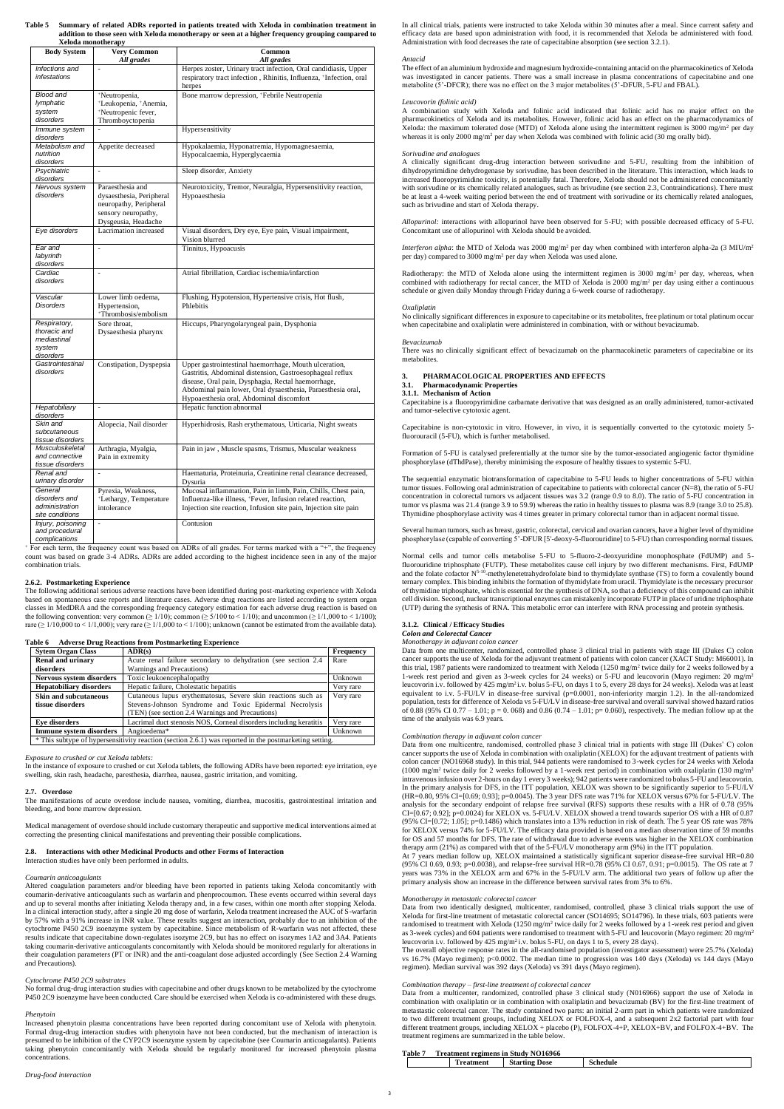**Table 5 Summary of related ADRs reported in patients treated with Xeloda in combination treatment in addition to those seen with Xeloda monotherapy or seen at a higher frequency grouping compared to Xeloda monotherapy**

| <b>Body System</b>                                                 | <b>Very Common</b><br>All grades                                                                                     | Common<br>All grades                                                                                                                                                                                                                                                               |
|--------------------------------------------------------------------|----------------------------------------------------------------------------------------------------------------------|------------------------------------------------------------------------------------------------------------------------------------------------------------------------------------------------------------------------------------------------------------------------------------|
| Infections and<br>infestations                                     | $\overline{a}$                                                                                                       | Herpes zoster, Urinary tract infection, Oral candidiasis, Upper<br>respiratory tract infection, Rhinitis, Influenza, +Infection, oral<br>herpes                                                                                                                                    |
| <b>Blood and</b><br>lymphatic<br>system<br>disorders               | *Neutropenia,<br>+Leukopenia, +Anemia,<br>*Neutropenic fever,<br>Thromboyctopenia                                    | Bone marrow depression, *Febrile Neutropenia                                                                                                                                                                                                                                       |
| Immune system<br>disorders                                         |                                                                                                                      | Hypersensitivity                                                                                                                                                                                                                                                                   |
| Metabolism and<br>nutrition<br>disorders                           | Appetite decreased                                                                                                   | Hypokalaemia, Hyponatremia, Hypomagnesaemia,<br>Hypocalcaemia, Hyperglycaemia                                                                                                                                                                                                      |
| Psychiatric<br>disorders                                           | $\overline{a}$                                                                                                       | Sleep disorder, Anxiety                                                                                                                                                                                                                                                            |
| Nervous system<br>disorders                                        | Paraesthesia and<br>dysaesthesia, Peripheral<br>neuropathy, Peripheral<br>sensory neuropathy,<br>Dysgeusia, Headache | Neurotoxicity, Tremor, Neuralgia, Hypersensitivity reaction,<br>Hypoaesthesia                                                                                                                                                                                                      |
| Eye disorders                                                      | Lacrimation increased                                                                                                | Visual disorders, Dry eye, Eye pain, Visual impairment,<br>Vision blurred                                                                                                                                                                                                          |
| Ear and<br>labyrinth<br>disorders                                  | $\overline{a}$                                                                                                       | Tinnitus, Hypoacusis                                                                                                                                                                                                                                                               |
| Cardiac<br>disorders                                               | $\overline{a}$                                                                                                       | Atrial fibrillation, Cardiac ischemia/infarction                                                                                                                                                                                                                                   |
| Vascular<br><b>Disorders</b>                                       | Lower limb oedema,<br>Hypertension,<br>*Thrombosis/embolism                                                          | Flushing, Hypotension, Hypertensive crisis, Hot flush,<br>Phlebitis                                                                                                                                                                                                                |
| Respiratory,<br>thoracic and<br>mediastinal<br>system<br>disorders | Sore throat,<br>Dysaesthesia pharynx                                                                                 | Hiccups, Pharyngolaryngeal pain, Dysphonia                                                                                                                                                                                                                                         |
| Gastrointestinal<br>disorders                                      | Constipation, Dyspepsia                                                                                              | Upper gastrointestinal haemorrhage, Mouth ulceration,<br>Gastritis, Abdominal distension, Gastroesophageal reflux<br>disease, Oral pain, Dysphagia, Rectal haemorrhage,<br>Abdominal pain lower, Oral dysaesthesia, Paraesthesia oral,<br>Hypoaesthesia oral, Abdominal discomfort |
| Hepatobiliary<br>disorders                                         | $\overline{a}$                                                                                                       | Hepatic function abnormal                                                                                                                                                                                                                                                          |
| Skin and<br>subcutaneous<br>tissue disorders                       | Alopecia, Nail disorder                                                                                              | Hyperhidrosis, Rash erythematous, Urticaria, Night sweats                                                                                                                                                                                                                          |
| Musculoskeletal<br>and connective<br>tissue disorders              | Arthragia, Myalgia,<br>Pain in extremity                                                                             | Pain in jaw, Muscle spasms, Trismus, Muscular weakness                                                                                                                                                                                                                             |
| Renal and<br>urinary disorder                                      | $\frac{1}{2}$                                                                                                        | Haematuria, Proteinuria, Creatinine renal clearance decreased,<br>Dysuria                                                                                                                                                                                                          |
| General<br>disorders and<br>administration<br>site conditions      | Pyrexia, Weakness,<br>+Lethargy, Temperature<br>intolerance                                                          | Mucosal inflammation, Pain in limb, Pain, Chills, Chest pain,<br>Influenza-like illness, +Fever, Infusion related reaction,<br>Injection site reaction, Infusion site pain, Injection site pain                                                                                    |
| Injury, poisoning<br>and procedural<br>complications               | $\overline{\phantom{a}}$                                                                                             | Contusion                                                                                                                                                                                                                                                                          |

The following additional serious adverse reactions have been identified during post-marketing experience with Xeloda based on spontaneous case reports and literature cases. Adverse drug reactions are listed according to system organ classes in MedDRA and the corresponding frequency category estimation for each adverse drug reaction is based on the following convention: very common ( $\geq 1/10$ ); common ( $\geq 5/100$  to  $\lt 1/10$ ); and uncommon ( $\geq 1/1,000$  to  $\lt 1/100$ ); rare ( $\geq 1/10,000$  to < 1/1,000); very rare ( $\geq 1/1,000$  to < 1/100); unknown (cannot be estimated from the available data).

<sup>+</sup> For each term, the frequency count was based on ADRs of all grades. For terms marked with a "+", the frequency count was based on grade 3-4 ADRs. ADRs are added according to the highest incidence seen in any of the major combination trials.

### **2.6.2. Postmarketing Experience**

#### **Table 6 Adverse Drug Reactions from Postmarketing Experience**

A combination study with Xeloda and folinic acid indicated that folinic acid has no major effect on the pharmacokinetics of Xeloda and its metabolites. However, folinic acid has an effect on the pharmacodynamics of Xeloda: the maximum tolerated dose (MTD) of Xeloda alone using the intermittent regimen is 3000 mg/m<sup>2</sup> per day whereas it is only 2000 mg/m<sup>2</sup> per day when Xeloda was combined with folinic acid (30 mg orally bid).

| <b>Sytem Organ Class</b>                                                                               | $\bf{ADR}(s)$                                                     | Frequency |  |  |
|--------------------------------------------------------------------------------------------------------|-------------------------------------------------------------------|-----------|--|--|
| <b>Renal and urinary</b>                                                                               | Acute renal failure secondary to dehydration (see section 2.4)    | Rare      |  |  |
| disorders                                                                                              | Warnings and Precautions)                                         |           |  |  |
| Nervous system disorders                                                                               | Toxic leukoencephalopathy                                         | Unknown   |  |  |
| <b>Hepatobiliary disorders</b>                                                                         | Hepatic failure, Cholestatic hepatitis                            | Very rare |  |  |
| <b>Skin and subcutaneous</b>                                                                           | Cutaneous lupus erythematosus, Severe skin reactions such as      | Very rare |  |  |
| tissue disorders                                                                                       | Stevens-Johnson Syndrome and Toxic Epidermal Necrolysis           |           |  |  |
|                                                                                                        | (TEN) (see section 2.4 Warnings and Precautions)                  |           |  |  |
| Eve disorders                                                                                          | Lacrimal duct stenosis NOS, Corneal disorders including keratitis |           |  |  |
| <b>Immune system disorders</b>                                                                         | Angioedema*                                                       | Unknown   |  |  |
| * This subtype of hypersensitivity reaction (section 2.6.1) was reported in the postmarketing setting. |                                                                   |           |  |  |

#### *Exposure to crushed or cut Xeloda tablets:*

In the instance of exposure to crushed or cut Xeloda tablets, the following ADRs have been reported: eye irritation, eye swelling, skin rash, headache, paresthesia, diarrhea, nausea, gastric irritation, and vomiting.

#### **2.7. Overdose**

Radiotherapy: the MTD of Xeloda alone using the intermittent regimen is 3000 mg/m<sup>2</sup> per day, whereas, when combined with radiotherapy for rectal cancer, the MTD of Xeloda is 2000 mg/m<sup>2</sup> per day using either a continuous schedule or given daily Monday through Friday during a 6-week course of radiotherapy.

The manifestations of acute overdose include nausea, vomiting, diarrhea, mucositis, gastrointestinal irritation and bleeding, and bone marrow depression.

Medical management of overdose should include customary therapeutic and supportive medical interventions aimed at correcting the presenting clinical manifestations and preventing their possible complications.

### **2.8. Interactions with other Medicinal Products and other Forms of Interaction** Interaction studies have only been performed in adults.

#### *Coumarin anticoagulants*

Altered coagulation parameters and/or bleeding have been reported in patients taking Xeloda concomitantly with coumarin-derivative anticoagulants such as warfarin and phenprocoumon. These events occurred within several days and up to several months after initiating Xeloda therapy and, in a few cases, within one month after stopping Xeloda. In a clinical interaction study, after a single 20 mg dose of warfarin, Xeloda treatment increased the AUC of S-warfarin by 57% with a 91% increase in INR value. These results suggest an interaction, probably due to an inhibition of the cytochrome P450 2C9 isoenzyme system by capecitabine. Since metabolism of R-warfarin was not affected, these results indicate that capecitabine down-regulates isozyme 2C9, but has no effect on isozymes 1A2 and 3A4. Patients taking coumarin-derivative anticoagulants concomitantly with Xeloda should be monitored regularly for alterations in their coagulation parameters (PT or INR) and the anti-coagulant dose adjusted accordingly (See Section 2.4 Warning and Precautions).

### *Cytochrome P450 2C9 substrates*

No formal drug-drug interaction studies with capecitabine and other drugs known to be metabolized by the cytochrome P450 2C9 isoenzyme have been conducted. Care should be exercised when Xeloda is co-administered with these drugs.

#### *Phenytoin*

Increased phenytoin plasma concentrations have been reported during concomitant use of Xeloda with phenytoin. Formal drug-drug interaction studies with phenytoin have not been conducted, but the mechanism of interaction is presumed to be inhibition of the CYP2C9 isoenzyme system by capecitabine (see Coumarin anticoagulants). Patients taking phenytoin concomitantly with Xeloda should be regularly monitored for increased phenytoin plasma concentrations.

### *Drug-food interaction*

In all clinical trials, patients were instructed to take Xeloda within 30 minutes after a meal. Since current safety and efficacy data are based upon administration with food, it is recommended that Xeloda be administered with food. Administration with food decreases the rate of capecitabine absorption (see section 3.2.1).

#### *Antacid*

The effect of an aluminium hydroxide and magnesium hydroxide-containing antacid on the pharmacokinetics of Xeloda was investigated in cancer patients. There was a small increase in plasma concentrations of capecitabine and one metabolite (5'-DFCR); there was no effect on the 3 major metabolites (5'-DFUR, 5-FU and FBAL).

#### *Leucovorin (folinic acid)*

#### *Sorivudine and analogues*

A clinically significant drug-drug interaction between sorivudine and 5-FU, resulting from the inhibition of dihydropyrimidine dehydrogenase by sorivudine, has been described in the literature. This interaction, which leads to increased fluoropyrimidine toxicity, is potentially fatal. Therefore, Xeloda should not be administered concomitantly with sorivudine or its chemically related analogues, such as brivudine (see section 2.3, Contraindications). There must be at least a 4-week waiting period between the end of treatment with sorivudine or its chemically related analogues, such as brivudine and start of Xeloda therapy.

*Allopurinol:* interactions with allopurinol have been observed for 5-FU; with possible decreased efficacy of 5-FU. Concomitant use of allopurinol with Xeloda should be avoided.

*Interferon alpha*: the MTD of Xeloda was 2000 mg/m<sup>2</sup> per day when combined with interferon alpha-2a (3 MIU/m<sup>2</sup> per day) compared to 3000 mg/m<sup>2</sup> per day when Xeloda was used alone.

#### *Oxaliplatin*

No clinically significant differences in exposure to capecitabine or its metabolites, free platinum or total platinum occur when capecitabine and oxaliplatin were administered in combination, with or without bevacizumab.

#### *Bevacizumab*

There was no clinically significant effect of bevacizumab on the pharmacokinetic parameters of capecitabine or its metabolites.

#### **3. PHARMACOLOGICAL PROPERTIES AND EFFECTS**

#### **3.1. Pharmacodynamic Properties**

**3.1.1. Mechanism of Action**

Capecitabine is a fluoropyrimidine carbamate derivative that was designed as an orally administered, tumor-activated and tumor-selective cytotoxic agent.

Capecitabine is non-cytotoxic in vitro. However, in vivo, it is sequentially converted to the cytotoxic moiety 5 fluorouracil (5-FU), which is further metabolised.

Formation of 5-FU is catalysed preferentially at the tumor site by the tumor-associated angiogenic factor thymidine phosphorylase (dThdPase), thereby minimising the exposure of healthy tissues to systemic 5-FU.

The sequential enzymatic biotransformation of capecitabine to 5-FU leads to higher concentrations of 5-FU within tumor tissues. Following oral administration of capecitabine to patients with colorectal cancer (N=8), the ratio of 5-FU concentration in colorectal tumors vs adjacent tissues was 3.2 (range 0.9 to 8.0). The ratio of 5-FU concentration in tumor vs plasma was 21.4 (range 3.9 to 59.9) whereas the ratio in healthy tissues to plasma was 8.9 (range 3.0 to 25.8). Thymidine phosphorylase activity was 4 times greater in primary colorectal tumor than in adjacent normal tissue.

Several human tumors, such as breast, gastric, colorectal, cervical and ovarian cancers, have a higher level of thymidine phosphorylase (capable of converting 5'-DFUR [5'-deoxy-5-fluorouridine] to 5-FU) than corresponding normal tissues.

Normal cells and tumor cells metabolise 5-FU to 5-fluoro-2-deoxyuridine monophosphate (FdUMP) and 5 fluorouridine triphosphate (FUTP). These metabolites cause cell injury by two different mechanisms. First, FdUMP and the folate cofactor  $N^{5-10}$ -methylenetetrahydrofolate bind to thymidylate synthase (TS) to form a covalently bound ternary complex. This binding inhibits the formation of thymidylate from uracil. Thymidylate is the necessary precursor of thymidine triphosphate, which is essential for the synthesis of DNA, so that a deficiency of this compound can inhibit cell division. Second, nuclear transcriptional enzymes can mistakenly incorporate FUTP in place of uridine triphosphate (UTP) during the synthesis of RNA. This metabolic error can interfere with RNA processing and protein synthesis.

### **3.1.2. Clinical / Efficacy Studies**

### *Colon and Colorectal Cancer*

*Monotherapy in adjuvant colon cancer*

Data from one multicenter, randomized, controlled phase 3 clinical trial in patients with stage III (Dukes C) colon cancer supports the use of Xeloda for the adjuvant treatment of patients with colon cancer (XACT Study: M66001). In this trial, 1987 patients were randomized to treatment with Xeloda (1250 mg/m<sup>2</sup> twice daily for 2 weeks followed by a 1-week rest period and given as 3-week cycles for 24 weeks) or 5-FU and leucovorin (Mayo regimen: 20 mg/m<sup>2</sup> leucovorin i.v. followed by 425 mg/m<sup>2</sup> i.v. bolus 5-FU, on days 1 to 5, every 28 days for 24 weeks). Xeloda was at least equivalent to i.v. 5-FU/LV in disease-free survival (p=0.0001, non-inferiority margin 1.2). In the all-randomized population, tests for difference of Xeloda vs 5-FU/LV in disease-free survival and overall survival showed hazard ratios of 0.88 (95% CI 0.77 – 1.01; p = 0. 068) and 0.86 (0.74 – 1.01; p= 0.060), respectively. The median follow up at the time of the analysis was 6.9 years.

### *Combination therapy in adjuvant colon cancer*

Data from one multicentre, randomised, controlled phase 3 clinical trial in patients with stage III (Dukes' C) colon cancer supports the use of Xeloda in combination with oxaliplatin (XELOX) for the adjuvant treatment of patients with colon cancer (NO16968 study). In this trial, 944 patients were randomised to 3-week cycles for 24 weeks with Xeloda (1000 mg/m<sup>2</sup> twice daily for 2 weeks followed by a 1-week rest period) in combination with oxaliplatin (130 mg/m<sup>2</sup> intravenous infusion over 2-hours on day 1 every 3 weeks); 942 patients were randomized to bolus 5-FU and leucovorin. In the primary analysis for DFS, in the ITT population, XELOX was shown to be significantly superior to 5-FU/LV (HR=0.80, 95% CI=[0.69; 0.93]; p=0.0045). The 3 year DFS rate was 71% for XELOX versus 67% for 5-FU/LV. The analysis for the secondary endpoint of relapse free survival (RFS) supports these results with a HR of 0.78 (95% CI=[0.67; 0.92]; p=0.0024) for XELOX vs. 5-FU/LV. XELOX showed a trend towards superior OS with a HR of 0.87 (95% CI=[0.72; 1.05]; p=0.1486) which translates into a 13% reduction in risk of death. The 5 year OS rate was 78% for XELOX versus 74% for 5-FU/LV. The efficacy data provided is based on a median observation time of 59 months for OS and 57 months for DFS. The rate of withdrawal due to adverse events was higher in the XELOX combination therapy arm (21%) as compared with that of the 5-FU/LV monotherapy arm (9%) in the ITT population. At 7 years median follow up, XELOX maintained a statistically significant superior disease-free survival HR=0.80 (95% CI 0.69, 0.93; p=0.0038), and relapse-free survival HR=0.78 (95% CI 0.67, 0.91; p=0.0015). The OS rate at 7 years was 73% in the XELOX arm and 67% in the 5-FU/LV arm. The additional two years of follow up after the primary analysis show an increase in the difference between survival rates from 3% to 6%.

#### *Monotherapy in metastatic colorectal cancer*

Data from two identically designed, multicenter, randomised, controlled, phase 3 clinical trials support the use of Xeloda for first-line treatment of metastatic colorectal cancer (SO14695; SO14796). In these trials, 603 patients were randomised to treatment with Xeloda  $(1250 \text{ mg/m}^2)$  twice daily for 2 weeks followed by a 1-week rest period and given as 3-week cycles) and 604 patients were randomised to treatment with 5-FU and leucovorin (Mayo regimen: 20 mg/m<sup>2</sup> leucovorin i.v. followed by 425 mg/m<sup>2</sup> i.v. bolus 5-FU, on days 1 to 5, every 28 days).

The overall objective response rates in the all-randomised population (investigator assessment) were 25.7% (Xeloda) vs 16.7% (Mayo regimen); p<0.0002. The median time to progression was 140 days (Xeloda) vs 144 days (Mayo regimen). Median survival was 392 days (Xeloda) vs 391 days (Mayo regimen).

#### *Combination therapy – first-line treatment of colorectal cancer*

Data from a multicenter, randomized, controlled phase 3 clinical study (N016966) support the use of Xeloda in combination with oxaliplatin or in combination with oxaliplatin and bevacizumab (BV) for the first-line treatment of metastastic colorectal cancer. The study contained two parts: an initial 2-arm part in which patients were randomized to two different treatment groups, including XELOX or FOLFOX-4, and a subsequent  $2x2$  factorial part with four different treatment groups, including XELOX + placebo (P), FOLFOX-4+P, XELOX+BV, and FOLFOX-4+BV. The treatment regimens are summarized in the table below.

#### **Table 7 Treatment regimens in Study NO16966**

| - -<br><b>Starting</b><br><b>reatment</b><br>Dose | schedule |
|---------------------------------------------------|----------|
|---------------------------------------------------|----------|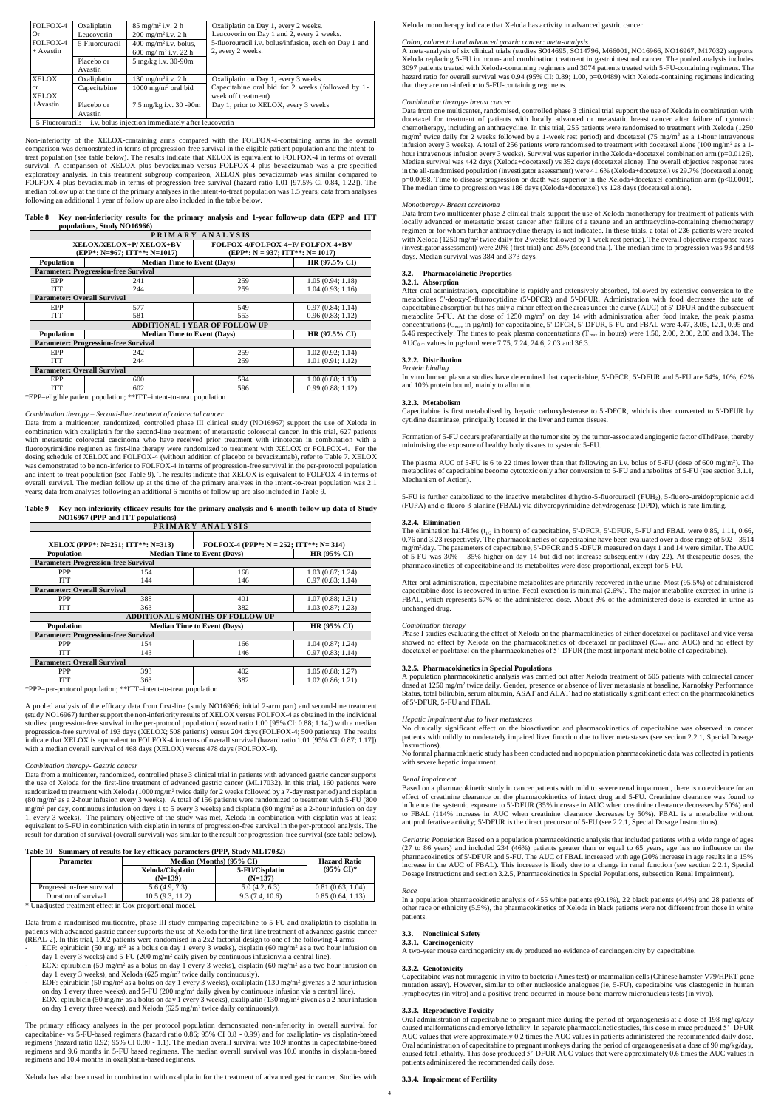| FOLFOX-4       | Oxaliplatin                                                          | $85 \text{ mg/m}^2$ i.v. 2 h                                       | Oxaliplatin on Day 1, every 2 weeks.                                                               |  |  |
|----------------|----------------------------------------------------------------------|--------------------------------------------------------------------|----------------------------------------------------------------------------------------------------|--|--|
| Or<br>FOLFOX-4 | Leucovorin<br>5-Fluorouracil                                         | $200 \text{ mg/m}^2$ i.v. 2 h<br>400 mg/m <sup>2</sup> i.v. bolus, | Leucovorin on Day 1 and 2, every 2 weeks.<br>5-fluorouracil i.v. bolus/infusion, each on Day 1 and |  |  |
| $+$ Avastin    |                                                                      | 600 mg/m <sup>2</sup> i.v. 22 h                                    | 2, every 2 weeks.                                                                                  |  |  |
|                | Placebo or                                                           | 5 mg/kg i.v. 30-90m                                                |                                                                                                    |  |  |
|                | Avastin                                                              |                                                                    |                                                                                                    |  |  |
| <b>XELOX</b>   | Oxaliplatin                                                          | $130 \text{ mg/m}^2$ i.v. 2 h                                      | Oxaliplatin on Day 1, every 3 weeks                                                                |  |  |
| <sub>or</sub>  | Capecitabine                                                         | $1000 \text{ mg/m}^2$ oral bid                                     | Capecitabine oral bid for 2 weeks (followed by 1-                                                  |  |  |
| <b>XELOX</b>   |                                                                      |                                                                    | week off treatment)                                                                                |  |  |
| $+A$ vastin    | Placebo or                                                           | 7.5 mg/kg i.v. 30 -90m                                             | Day 1, prior to XELOX, every 3 weeks                                                               |  |  |
|                | Avastin                                                              |                                                                    |                                                                                                    |  |  |
|                | i.v. bolus injection immediately after leucovorin<br>5-Fluorouracil: |                                                                    |                                                                                                    |  |  |

Non-inferiority of the XELOX-containing arms compared with the FOLFOX-4-containing arms in the overall comparison was demonstrated in terms of progression-free survival in the eligible patient population and the intent-totreat population (see table below). The results indicate that XELOX is equivalent to FOLFOX-4 in terms of overall survival. A comparison of XELOX plus bevacizumab versus FOLFOX-4 plus bevacizumab was a pre-specified exploratory analysis. In this treatment subgroup comparison, XELOX plus bevacizumab was similar compared to FOLFOX-4 plus bevacizumab in terms of progression-free survival (hazard ratio 1.01 [97.5% CI 0.84, 1.22]). The median follow up at the time of the primary analyses in the intent-to-treat population was 1.5 years; data from analyses following an additional 1 year of follow up are also included in the table below.

| Table 8 Key non-inferiority results for the primary analysis and 1-year follow-up data (EPP and ITT |  |  |
|-----------------------------------------------------------------------------------------------------|--|--|
| populations, Study NO16966)                                                                         |  |  |

| PRIMARY ANALYSIS                                                   |                                                                              |                                       |                  |  |  |  |
|--------------------------------------------------------------------|------------------------------------------------------------------------------|---------------------------------------|------------------|--|--|--|
|                                                                    | FOLFOX-4/FOLFOX-4+P/FOLFOX-4+BV<br>XELOX/XELOX+P/ XELOX+BV                   |                                       |                  |  |  |  |
|                                                                    | $(EPP^*: N=967; ITT^{**}: N=1017)$<br>$(EPP^*: N = 937; ITT^{**}: N = 1017)$ |                                       |                  |  |  |  |
| <b>Population</b>                                                  | <b>Median Time to Event (Days)</b>                                           |                                       | $HR(97.5\% CI)$  |  |  |  |
|                                                                    | <b>Parameter: Progression-free Survival</b>                                  |                                       |                  |  |  |  |
| EPP                                                                | 241                                                                          | 259                                   | 1.05(0.94; 1.18) |  |  |  |
| <b>ITT</b>                                                         | 244                                                                          | 259                                   | 1.04(0.93; 1.16) |  |  |  |
| <b>Parameter: Overall Survival</b>                                 |                                                                              |                                       |                  |  |  |  |
| EPP                                                                | 577                                                                          | 549                                   | 0.97(0.84; 1.14) |  |  |  |
| <b>ITT</b>                                                         | 581                                                                          | 553                                   | 0.96(0.83; 1.12) |  |  |  |
|                                                                    |                                                                              | <b>ADDITIONAL 1 YEAR OF FOLLOW UP</b> |                  |  |  |  |
| <b>Population</b>                                                  | HR (97.5% CI)<br><b>Median Time to Event (Days)</b>                          |                                       |                  |  |  |  |
|                                                                    | <b>Parameter: Progression-free Survival</b>                                  |                                       |                  |  |  |  |
| EPP                                                                | 242                                                                          | 259                                   | 1.02(0.92; 1.14) |  |  |  |
| <b>ITT</b>                                                         | 244                                                                          | 259                                   | 1.01(0.91; 1.12) |  |  |  |
| <b>Parameter: Overall Survival</b>                                 |                                                                              |                                       |                  |  |  |  |
| EPP                                                                | 600                                                                          | 594                                   | 1.00(0.88; 1.13) |  |  |  |
| <b>ITT</b>                                                         | 602                                                                          | 596                                   | 0.99(0.88:1.12)  |  |  |  |
| *EPP=eligible patient population; **ITT=intent-to-treat population |                                                                              |                                       |                  |  |  |  |

#### *Combination therapy – Second-line treatment of colorectal cancer*

Data from a multicenter, randomized, controlled phase III clinical study (NO16967) support the use of Xeloda in combination with oxaliplatin for the second-line treatment of metastastic colorectal cancer. In this trial, 627 patients with metastatic colorectal carcinoma who have received prior treatment with irinotecan in combination with a fluoropyrimidine regimen as first-line therapy were randomized to treatment with XELOX or FOLFOX-4. For the dosing schedule of XELOX and FOLFOX-4 (without addition of placebo or bevacizumab), refer to Table 7. XELOX was demonstrated to be non-inferior to FOLFOX-4 in terms of progression-free survival in the per-protocol population and intent-to-treat population (see Table 9). The results indicate that XELOX is equivalent to FOLFOX-4 in terms of overall survival. The median follow up at the time of the primary analyses in the intent-to-treat population was 2.1 years; data from analyses following an additional 6 months of follow up are also included in Table 9.

### **Table 9 Key non-inferiority efficacy results for the primary analysis and 6-month follow-up data of Study NO16967 (PPP and ITT populations)**

| PRIMARY ANALYSIS                            |                                   |                                            |                  |  |  |  |
|---------------------------------------------|-----------------------------------|--------------------------------------------|------------------|--|--|--|
|                                             | XELOX (PPP*: N=251; ITT**: N=313) | FOLFOX-4 (PPP*: $N = 252$ ; ITT**: N= 314) |                  |  |  |  |
| Population                                  |                                   | <b>Median Time to Event (Days)</b>         | HR (95% CI)      |  |  |  |
| <b>Parameter: Progression-free Survival</b> |                                   |                                            |                  |  |  |  |
| <b>PPP</b>                                  | 154                               | 168                                        | 1.03(0.87; 1.24) |  |  |  |
| <b>ITT</b>                                  | 144                               | 146                                        | 0.97(0.83; 1.14) |  |  |  |
| <b>Parameter: Overall Survival</b>          |                                   |                                            |                  |  |  |  |
| <b>PPP</b>                                  | 388                               | 401                                        | 1.07(0.88; 1.31) |  |  |  |
| <b>ITT</b>                                  | 363                               | 382                                        | 1.03(0.87; 1.23) |  |  |  |
| <b>ADDITIONAL 6 MONTHS OF FOLLOW UP</b>     |                                   |                                            |                  |  |  |  |
| Population                                  |                                   | <b>Median Time to Event (Days)</b>         |                  |  |  |  |
| <b>Parameter: Progression-free Survival</b> |                                   |                                            |                  |  |  |  |
| <b>PPP</b>                                  | 154                               | 166                                        | 1.04(0.87; 1.24) |  |  |  |
| <b>ITT</b>                                  | 143                               | 146                                        | 0.97(0.83; 1.14) |  |  |  |
| <b>Parameter: Overall Survival</b>          |                                   |                                            |                  |  |  |  |
| <b>PPP</b>                                  | 393                               | 402                                        | 1.05(0.88; 1.27) |  |  |  |
| ITT                                         | 363                               | 382                                        | 1.02(0.86; 1.21) |  |  |  |

\*PPP=per-protocol population; \*\*ITT=intent-to-treat population

A pooled analysis of the efficacy data from first-line (study NO16966; initial 2-arm part) and second-line treatment (study NO16967) further support the non-inferiority results of XELOX versus FOLFOX-4 as obtained in the individual studies: progression-free survival in the per-protocol population (hazard ratio 1.00 [95% CI: 0.88; 1.14]) with a median progression-free survival of 193 days (XELOX; 508 patients) versus 204 days (FOLFOX-4; 500 patients). The results indicate that XELOX is equivalent to FOLFOX-4 in terms of overall survival (hazard ratio 1.01 [95% CI: 0.87; 1.17]) with a median overall survival of 468 days (XELOX) versus 478 days (FOLFOX-4).

#### *Combination therapy- Gastric cancer*

After oral administration, capecitabine is rapidly and extensively absorbed, followed by extensive conversion to the metabolites 5'-deoxy-5-fluorocytidine (5'-DFCR) and 5'-DFUR. Administration with food decreases the rate of capecitabine absorption but has only a minor effect on the areas under the curve (AUC) of 5'-DFUR and the subsequent metabolite 5-FU. At the dose of  $1250 \text{ mg/m}^2$  on day 14 with administration after food intake, the peak plasma concentrations (Cmax in µg/ml) for capecitabine, 5'-DFCR, 5'-DFUR, 5-FU and FBAL were 4.47, 3.05, 12.1, 0.95 and 5.46 respectively. The times to peak plasma concentrations (Tmax in hours) were 1.50, 2.00, 2.00, 2.00 and 3.34. The AUC<sub>0- $\infty$ </sub> values in  $\mu$ g·h/ml were 7.75, 7.24, 24.6, 2.03 and 36.3.

Data from a multicenter, randomized, controlled phase 3 clinical trial in patients with advanced gastric cancer supports the use of Xeloda for the first-line treatment of advanced gastric cancer (ML17032). In this trial, 160 patients were randomized to treatment with Xeloda  $(1000 \text{ mg/m}^2)$  twice daily for 2 weeks followed by a 7-day rest period) and cisplatin (80 mg/m<sup>2</sup> as a 2-hour infusion every 3 weeks). A total of 156 patients were randomized to treatment with 5-FU (800 mg/m<sup>2</sup> per day, continuous infusion on days 1 to 5 every 3 weeks) and cisplatin (80 mg/m<sup>2</sup> as a 2-hour infusion on day 1, every 3 weeks). The primary objective of the study was met, Xeloda in combination with cisplatin was at least equivalent to 5-FU in combination with cisplatin in terms of progression-free survival in the per-protocol analysis. The result for duration of survival (overall survival) was similar to the result for progression-free survival (see table below).

### **Table 10 Summary of results for key efficacy parameters (PPP, Study ML17032)**

| Tavit Tv<br>$\alpha$ of the country of the contract parameters (FIT, budget $\alpha$ ) |                           |                               |                             |                       |  |  |  |
|----------------------------------------------------------------------------------------|---------------------------|-------------------------------|-----------------------------|-----------------------|--|--|--|
|                                                                                        | <b>Parameter</b>          | Median (Months) (95% CI)      | <b>Hazard Ratio</b>         |                       |  |  |  |
|                                                                                        |                           | Xeloda/Cisplatin<br>$(N=139)$ | 5-FU/Cisplatin<br>$(N=137)$ | $(95\% \text{ CI})^*$ |  |  |  |
|                                                                                        | Progression-free survival | 5.6(4.9, 7.3)                 | 5.0(4.2, 6.3)               | 0.81(0.63, 1.04)      |  |  |  |
|                                                                                        | Duration of survival      | 10.5(9.3, 11.2)               | 9.3(7.4, 10.6)              | 0.85(0.64, 1.13)      |  |  |  |

5-FU is further catabolized to the inactive metabolites dihydro-5-fluorouracil (FUH<sub>2</sub>), 5-fluoro-ureidopropionic acid (FUPA) and α-fluoro-β-alanine (FBAL) via dihydropyrimidine dehydrogenase (DPD), which is rate limiting.

\* Unadjusted treatment effect in Cox proportional model.

The elimination half-lifes ( $t_{1/2}$  in hours) of capecitabine, 5'-DFCR, 5'-DFUR, 5-FU and FBAL were 0.85, 1.11, 0.66, 0.76 and 3.23 respectively. The pharmacokinetics of capecitabine have been evaluated over a dose range of 502 - 3514 mg/m<sup>2</sup> /day. The parameters of capecitabine, 5'-DFCR and 5'-DFUR measured on days 1 and 14 were similar. The AUC of 5-FU was 30% – 35% higher on day 14 but did not increase subsequently (day 22). At therapeutic doses, the pharmacokinetics of capecitabine and its metabolites were dose proportional, except for 5-FU.

Data from a randomised multicentre, phase III study comparing capecitabine to 5-FU and oxaliplatin to cisplatin in patients with advanced gastric cancer supports the use of Xeloda for the first-line treatment of advanced gastric cancer (REAL-2). In this trial, 1002 patients were randomised in a 2x2 factorial design to one of the following 4 arms:

- ECF: epirubicin (50 mg/ m<sup>2</sup> as a bolus on day 1 every 3 weeks), cisplatin (60 mg/m<sup>2</sup> as a two hour infusion on day 1 every 3 weeks) and 5-FU (200 mg/m<sup>2</sup> daily given by continuous infusionvia a central line).
- ECX: epirubicin (50 mg/m<sup>2</sup> as a bolus on day 1 every 3 weeks), cisplatin (60 mg/m<sup>2</sup> as a two hour infusion on day 1 every 3 weeks), and Xeloda (625 mg/m<sup>2</sup> twice daily continuously).
- EOF: epirubicin (50 mg/m<sup>2</sup> as a bolus on day 1 every 3 weeks), oxaliplatin (130 mg/m<sup>2</sup> givenas a 2 hour infusion on day 1 every three weeks), and 5-FU (200 mg/m<sup>2</sup> daily given by continuous infusion via a central line).
- EOX: epirubicin (50 mg/m<sup>2</sup> as a bolus on day 1 every 3 weeks), oxaliplatin (130 mg/m<sup>2</sup> given as a 2 hour infusion on day 1 every three weeks), and Xeloda (625 mg/m<sup>2</sup> twice daily continuously).

The primary efficacy analyses in the per protocol population demonstrated non-inferiority in overall survival for capecitabine- vs 5-FU-based regimens (hazard ratio 0.86; 95% CI 0.8 - 0.99) and for oxaliplatin- vs cisplatin-based regimens (hazard ratio 0.92; 95% CI 0.80 - 1.1). The median overall survival was 10.9 months in capecitabine-based regimens and 9.6 months in 5-FU based regimens. The median overall survival was 10.0 months in cisplatin-based regimens and 10.4 months in oxaliplatin-based regimens.

Xeloda has also been used in combination with oxaliplatin for the treatment of advanced gastric cancer. Studies with

#### Xeloda monotherapy indicate that Xeloda has activity in advanced gastric cancer

#### *Colon, colorectal and advanced gastric cancer: meta-analysis*

A meta-analysis of six clinical trials (studies SO14695, SO14796, M66001, NO16966, NO16967, M17032) supports Xeloda replacing 5-FU in mono- and combination treatment in gastrointestinal cancer. The pooled analysis includes 3097 patients treated with Xeloda-containing regimens and 3074 patients treated with 5-FU-containing regimens. The hazard ratio for overall survival was 0.94 (95% CI: 0.89; 1.00, p=0.0489) with Xeloda-containing regimens indicating that they are non-inferior to 5-FU-containing regimens.

#### *Combination therapy- breast cancer*

Data from one multicenter, randomised, controlled phase 3 clinical trial support the use of Xeloda in combination with docetaxel for treatment of patients with locally advanced or metastatic breast cancer after failure of cytotoxic chemotherapy, including an anthracycline. In this trial, 255 patients were randomised to treatment with Xeloda (1250 mg/m<sup>2</sup> twice daily for 2 weeks followed by a 1-week rest period) and docetaxel (75 mg/m<sup>2</sup> as a 1-hour intravenous infusion every 3 weeks). A total of 256 patients were randomised to treatment with docetaxel alone (100 mg/m<sup>2</sup> as a 1hour intravenous infusion every 3 weeks). Survival was superior in the Xeloda+docetaxel combination arm (p=0.0126). Median survival was 442 days (Xeloda+docetaxel) vs 352 days (docetaxel alone). The overall objective response rates in the all-randomised population (investigator assessment) were 41.6% (Xeloda+docetaxel) vs 29.7% (docetaxel alone); p=0.0058. Time to disease progression or death was superior in the Xeloda+docetaxel combination arm (p<0.0001). The median time to progression was 186 days (Xeloda+docetaxel) vs 128 days (docetaxel alone).

#### *Monotherapy- Breast carcinoma*

Data from two multicenter phase 2 clinical trials support the use of Xeloda monotherapy for treatment of patients with locally advanced or metastatic breast cancer after failure of a taxane and an anthracycline-containing chemotherapy regimen or for whom further anthracycline therapy is not indicated. In these trials, a total of 236 patients were treated with Xeloda (1250 mg/m<sup>2</sup> twice daily for 2 weeks followed by 1-week rest period). The overall objective response rates (investigator assessment) were 20% (first trial) and 25% (second trial). The median time to progression was 93 and 98 days. Median survival was 384 and 373 days.

#### **3.2. Pharmacokinetic Properties**

### **3.2.1. Absorption**

#### **3.2.2. Distribution**

#### *Protein binding*

In vitro human plasma studies have determined that capecitabine, 5'-DFCR, 5'-DFUR and 5-FU are 54%, 10%, 62% and 10% protein bound, mainly to albumin.

#### **3.2.3. Metabolism**

Capecitabine is first metabolised by hepatic carboxylesterase to 5'-DFCR, which is then converted to 5'-DFUR by cytidine deaminase, principally located in the liver and tumor tissues.

Formation of 5-FU occurs preferentially at the tumor site by the tumor-associated angiogenic factor dThdPase, thereby minimising the exposure of healthy body tissues to systemic 5-FU.

The plasma AUC of 5-FU is 6 to 22 times lower than that following an i.v. bolus of 5-FU (dose of 600 mg/m<sup>2</sup> ). The metabolites of capecitabine become cytotoxic only after conversion to 5-FU and anabolites of 5-FU (see section 3.1.1, Mechanism of Action).

#### **3.2.4. Elimination**

After oral administration, capecitabine metabolites are primarily recovered in the urine. Most (95.5%) of administered capecitabine dose is recovered in urine. Fecal excretion is minimal (2.6%). The major metabolite excreted in urine is FBAL, which represents 57% of the administered dose. About 3% of the administered dose is excreted in urine as unchanged drug.

#### *Combination therapy*

Phase I studies evaluating the effect of Xeloda on the pharmacokinetics of either docetaxel or paclitaxel and vice versa showed no effect by Xeloda on the pharmacokinetics of docetaxel or paclitaxel (C<sub>max</sub> and AUC) and no effect by docetaxel or paclitaxel on the pharmacokinetics of 5'-DFUR (the most important metabolite of capecitabine).

### **3.2.5. Pharmacokinetics in Special Populations**

A population pharmacokinetic analysis was carried out after Xeloda treatment of 505 patients with colorectal cancer dosed at 1250 mg/m<sup>2</sup> twice daily. Gender, presence or absence of liver metastasis at baseline, Karnofsky Performance Status, total bilirubin, serum albumin, ASAT and ALAT had no statistically significant effect on the pharmacokinetics of 5'-DFUR, 5-FU and FBAL.

### *Hepatic Impairment due to liver metastases*

No clinically significant effect on the bioactivation and pharmacokinetics of capecitabine was observed in cancer patients with mildly to moderately impaired liver function due to liver metastases (see section 2.2.1, Special Dosage Instructions).

No formal pharmacokinetic study has been conducted and no population pharmacokinetic data was collected in patients with severe hepatic impairment.

#### *Renal Impairment*

Based on a pharmacokinetic study in cancer patients with mild to severe renal impairment, there is no evidence for an effect of creatinine clearance on the pharmacokinetics of intact drug and 5-FU. Creatinine clearance was found to influence the systemic exposure to 5'-DFUR (35% increase in AUC when creatinine clearance decreases by 50%) and to FBAL (114% increase in AUC when creatinine clearance decreases by 50%). FBAL is a metabolite without antiproliferative activity; 5'-DFUR is the direct precursor of 5-FU (see 2.2.1, Special Dosage Instructions).

*Geriatric Population* Based on a population pharmacokinetic analysis that included patients with a wide range of ages (27 to 86 years) and included 234 (46%) patients greater than or equal to 65 years, age has no influence on the pharmacokinetics of 5'-DFUR and 5-FU. The AUC of FBAL increased with age (20% increase in age results in a 15% increase in the AUC of FBAL). This increase is likely due to a change in renal function (see section 2.2.1, Special Dosage Instructions and section 3.2.5, Pharmacokinetics in Special Populations, subsection Renal Impairment).

#### *Race*

In a population pharmacokinetic analysis of 455 white patients (90.1%), 22 black patients (4.4%) and 28 patients of other race or ethnicity (5.5%), the pharmacokinetics of Xeloda in black patients were not different from those in white patients.

#### **3.3. Nonclinical Safety**

#### **3.3.1. Carcinogenicity**

A two-year mouse carcinogenicity study produced no evidence of carcinogenicity by capecitabine.

#### **3.3.2. Genotoxicity**

Capecitabine was not mutagenic in vitro to bacteria (Ames test) or mammalian cells (Chinese hamster V79/HPRT gene mutation assay). However, similar to other nucleoside analogues (ie, 5-FU), capecitabine was clastogenic in human lymphocytes (in vitro) and a positive trend occurred in mouse bone marrow micronucleus tests (in vivo).

### **3.3.3. Reproductive Toxicity**

Oral administration of capecitabine to pregnant mice during the period of organogenesis at a dose of 198 mg/kg/day caused malformations and embryo lethality. In separate pharmacokinetic studies, this dose in mice produced 5'- DFUR AUC values that were approximately 0.2 times the AUC values in patients administered the recommended daily dose. Oral administration of capecitabine to pregnant monkeys during the period of organogenesis at a dose of 90 mg/kg/day, caused fetal lethality. This dose produced 5'-DFUR AUC values that were approximately 0.6 times the AUC values in patients administered the recommended daily dose.

### **3.3.4. Impairment of Fertility**